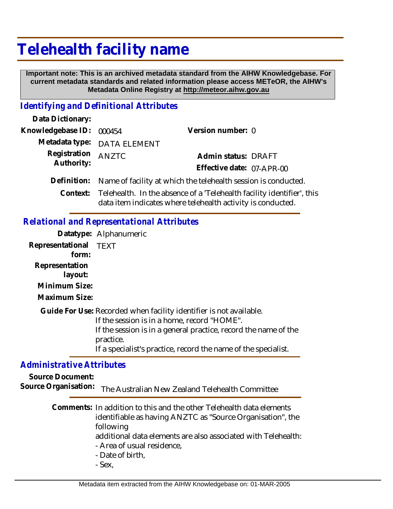# **Telehealth facility name**

 **Important note: This is an archived metadata standard from the AIHW Knowledgebase. For current metadata standards and related information please access METeOR, the AIHW's Metadata Online Registry at http://meteor.aihw.gov.au**

## *Identifying and Definitional Attributes*

| Data Dictionary:           |                                                                |                                                                                                                                                |  |
|----------------------------|----------------------------------------------------------------|------------------------------------------------------------------------------------------------------------------------------------------------|--|
| Knowledgebase ID:          | 000454                                                         | Version number: 0                                                                                                                              |  |
|                            | Metadata type: DATA ELEMENT                                    |                                                                                                                                                |  |
| Registration<br>Authority: | ANZTC                                                          | Admin status: DRAFT                                                                                                                            |  |
|                            |                                                                | Effective date: 07-APR-00                                                                                                                      |  |
| Definition:                | Name of facility at which the telehealth session is conducted. |                                                                                                                                                |  |
|                            |                                                                | Context: Telehealth. In the absence of a 'Telehealth facility identifier', this<br>data item indicates where telehealth activity is conducted. |  |

### *Relational and Representational Attributes*

**Datatype:** Alphanumeric **Representational** TEXT  **form: Representation layout: Minimum Size: Maximum Size:** Guide For Use: Recorded when facility identifier is not available. If the session is in a home, record "HOME". If the session is in a general practice, record the name of the practice. If a specialist's practice, record the name of the specialist.

## *Administrative Attributes*

**Source Document:**

Source Organisation: The Australian New Zealand Telehealth Committee

| Comments: In addition to this and the other Telehealth data elements |
|----------------------------------------------------------------------|
| identifiable as having ANZTC as "Source Organisation", the           |
| following                                                            |
| additional data elements are also associated with Telehealth:        |
| - Area of usual residence,                                           |
| - Date of birth,                                                     |
| $C_{\alpha\lambda\lambda}$                                           |

- Sex,